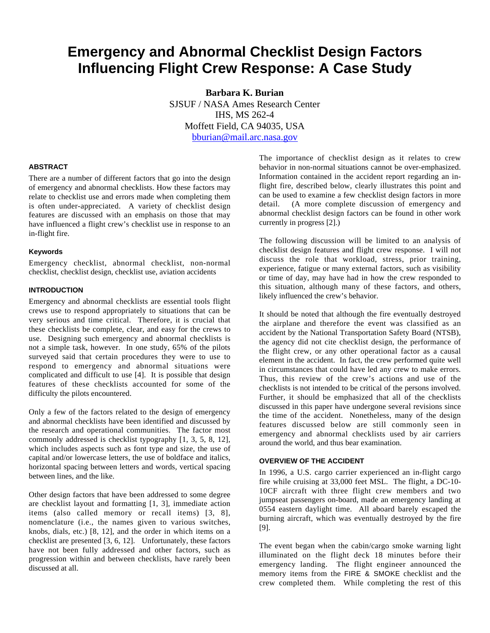# **Emergency and Abnormal Checklist Design Factors Influencing Flight Crew Response: A Case Study**

**Barbara K. Burian** SJSUF / NASA Ames Research Center IHS, MS 262-4 Moffett Field, CA 94035, USA bburian@mail.arc.nasa.gov

# **ABSTRACT**

There are a number of different factors that go into the design of emergency and abnormal checklists. How these factors may relate to checklist use and errors made when completing them is often under-appreciated. A variety of checklist design features are discussed with an emphasis on those that may have influenced a flight crew's checklist use in response to an in-flight fire.

# **Keywords**

Emergency checklist, abnormal checklist, non-normal checklist, checklist design, checklist use, aviation accidents

# **INTRODUCTION**

Emergency and abnormal checklists are essential tools flight crews use to respond appropriately to situations that can be very serious and time critical. Therefore, it is crucial that these checklists be complete, clear, and easy for the crews to use. Designing such emergency and abnormal checklists is not a simple task, however. In one study, 65% of the pilots surveyed said that certain procedures they were to use to respond to emergency and abnormal situations were complicated and difficult to use [4]. It is possible that design features of these checklists accounted for some of the difficulty the pilots encountered.

Only a few of the factors related to the design of emergency and abnormal checklists have been identified and discussed by the research and operational communities. The factor most commonly addressed is checklist typography [1, 3, 5, 8, 12], which includes aspects such as font type and size, the use of capital and/or lowercase letters, the use of boldface and italics, horizontal spacing between letters and words, vertical spacing between lines, and the like.

Other design factors that have been addressed to some degree are checklist layout and formatting [1, 3], immediate action items (also called memory or recall items) [3, 8], nomenclature (i.e., the names given to various switches, knobs, dials, etc.) [8, 12], and the order in which items on a checklist are presented [3, 6, 12]. Unfortunately, these factors have not been fully addressed and other factors, such as progression within and between checklists, have rarely been discussed at all.

The importance of checklist design as it relates to crew behavior in non-normal situations cannot be over-emphasized. Information contained in the accident report regarding an inflight fire, described below, clearly illustrates this point and can be used to examine a few checklist design factors in more detail. (A more complete discussion of emergency and abnormal checklist design factors can be found in other work currently in progress [2].)

The following discussion will be limited to an analysis of checklist design features and flight crew response. I will not discuss the role that workload, stress, prior training, experience, fatigue or many external factors, such as visibility or time of day, may have had in how the crew responded to this situation, although many of these factors, and others, likely influenced the crew's behavior.

It should be noted that although the fire eventually destroyed the airplane and therefore the event was classified as an accident by the National Transportation Safety Board (NTSB), the agency did not cite checklist design, the performance of the flight crew, or any other operational factor as a causal element in the accident. In fact, the crew performed quite well in circumstances that could have led any crew to make errors. Thus, this review of the crew's actions and use of the checklists is not intended to be critical of the persons involved. Further, it should be emphasized that all of the checklists discussed in this paper have undergone several revisions since the time of the accident. Nonetheless, many of the design features discussed below are still commonly seen in emergency and abnormal checklists used by air carriers around the world, and thus bear examination.

#### **OVERVIEW OF THE ACCIDENT**

In 1996, a U.S. cargo carrier experienced an in-flight cargo fire while cruising at 33,000 feet MSL. The flight, a DC-10- 10CF aircraft with three flight crew members and two jumpseat passengers on-board, made an emergency landing at 0554 eastern daylight time. All aboard barely escaped the burning aircraft, which was eventually destroyed by the fire [9].

The event began when the cabin/cargo smoke warning light illuminated on the flight deck 18 minutes before their emergency landing. The flight engineer announced the memory items from the FIRE & SMOKE checklist and the crew completed them. While completing the rest of this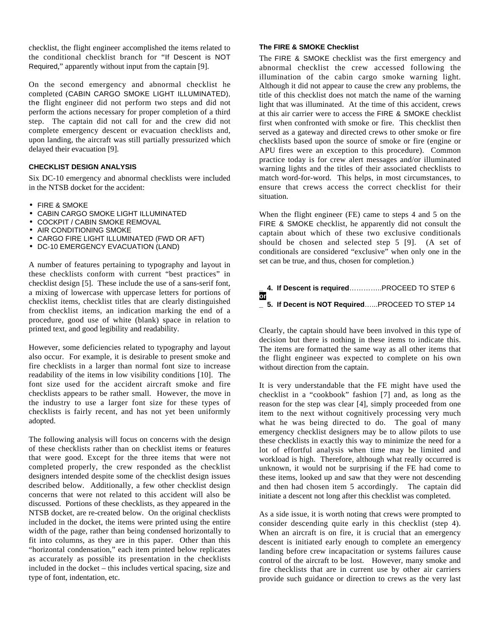checklist, the flight engineer accomplished the items related to the conditional checklist branch for "If Descent is NOT Required," apparently without input from the captain [9].

On the second emergency and abnormal checklist he completed (CABIN CARGO SMOKE LIGHT ILLUMINATED), the flight engineer did not perform two steps and did not perform the actions necessary for proper completion of a third step. The captain did not call for and the crew did not complete emergency descent or evacuation checklists and, upon landing, the aircraft was still partially pressurized which delayed their evacuation [9].

# **CHECKLIST DESIGN ANALYSIS**

Six DC-10 emergency and abnormal checklists were included in the NTSB docket for the accident:

- FIRE & SMOKE
- CABIN CARGO SMOKE LIGHT ILLUMINATED
- COCKPIT / CABIN SMOKE REMOVAL
- AIR CONDITIONING SMOKE
- CARGO FIRE LIGHT ILLUMINATED (FWD OR AFT)
- DC-10 EMERGENCY EVACUATION (LAND)

A number of features pertaining to typography and layout in these checklists conform with current "best practices" in checklist design [5]. These include the use of a sans-serif font, a mixing of lowercase with uppercase letters for portions of checklist items, checklist titles that are clearly distinguished from checklist items, an indication marking the end of a procedure, good use of white (blank) space in relation to printed text, and good legibility and readability.

However, some deficiencies related to typography and layout also occur. For example, it is desirable to present smoke and fire checklists in a larger than normal font size to increase readability of the items in low visibility conditions [10]. The font size used for the accident aircraft smoke and fire checklists appears to be rather small. However, the move in the industry to use a larger font size for these types of checklists is fairly recent, and has not yet been uniformly adopted.

The following analysis will focus on concerns with the design of these checklists rather than on checklist items or features that were good. Except for the three items that were not completed properly, the crew responded as the checklist designers intended despite some of the checklist design issues described below. Additionally, a few other checklist design concerns that were not related to this accident will also be discussed. Portions of these checklists, as they appeared in the NTSB docket, are re-created below. On the original checklists included in the docket, the items were printed using the entire width of the page, rather than being condensed horizontally to fit into columns, as they are in this paper. Other than this "horizontal condensation," each item printed below replicates as accurately as possible its presentation in the checklists included in the docket – this includes vertical spacing, size and type of font, indentation, etc.

#### **The FIRE & SMOKE Checklist**

The FIRE & SMOKE checklist was the first emergency and abnormal checklist the crew accessed following the illumination of the cabin cargo smoke warning light. Although it did not appear to cause the crew any problems, the title of this checklist does not match the name of the warning light that was illuminated. At the time of this accident, crews at this air carrier were to access the FIRE & SMOKE checklist first when confronted with smoke or fire. This checklist then served as a gateway and directed crews to other smoke or fire checklists based upon the source of smoke or fire (engine or APU fires were an exception to this procedure). Common practice today is for crew alert messages and/or illuminated warning lights and the titles of their associated checklists to match word-for-word. This helps, in most circumstances, to ensure that crews access the correct checklist for their situation.

When the flight engineer (FE) came to steps 4 and 5 on the FIRE & SMOKE checklist, he apparently did not consult the captain about which of these two exclusive conditionals should be chosen and selected step 5 [9]. (A set of conditionals are considered "exclusive" when only one in the set can be true, and thus, chosen for completion.)

#### **\_ 4. If Descent is required**…………..PROCEED TO STEP 6 **or \_ 5. If Decent is NOT Required**…...PROCEED TO STEP 14

Clearly, the captain should have been involved in this type of decision but there is nothing in these items to indicate this. The items are formatted the same way as all other items that the flight engineer was expected to complete on his own without direction from the captain.

It is very understandable that the FE might have used the checklist in a "cookbook" fashion [7] and, as long as the reason for the step was clear [4], simply proceeded from one item to the next without cognitively processing very much what he was being directed to do. The goal of many emergency checklist designers may be to allow pilots to use these checklists in exactly this way to minimize the need for a lot of effortful analysis when time may be limited and workload is high. Therefore, although what really occurred is unknown, it would not be surprising if the FE had come to these items, looked up and saw that they were not descending and then had chosen item 5 accordingly. The captain did initiate a descent not long after this checklist was completed.

As a side issue, it is worth noting that crews were prompted to consider descending quite early in this checklist (step 4). When an aircraft is on fire, it is crucial that an emergency descent is initiated early enough to complete an emergency landing before crew incapacitation or systems failures cause control of the aircraft to be lost. However, many smoke and fire checklists that are in current use by other air carriers provide such guidance or direction to crews as the very last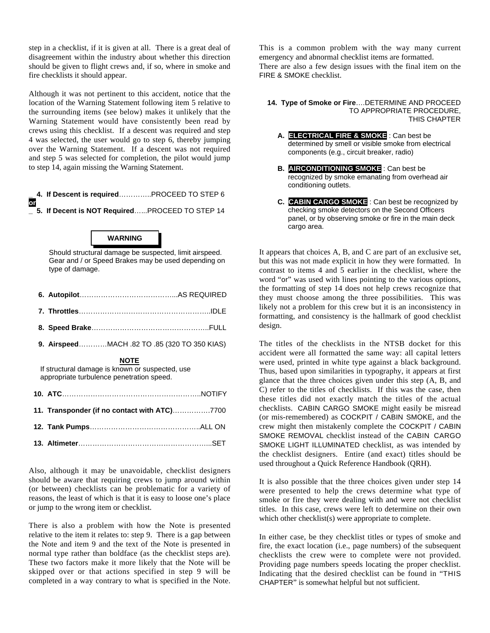step in a checklist, if it is given at all. There is a great deal of disagreement within the industry about whether this direction should be given to flight crews and, if so, where in smoke and fire checklists it should appear.

Although it was not pertinent to this accident, notice that the location of the Warning Statement following item 5 relative to the surrounding items (see below) makes it unlikely that the Warning Statement would have consistently been read by crews using this checklist. If a descent was required and step 4 was selected, the user would go to step 6, thereby jumping over the Warning Statement. If a descent was not required and step 5 was selected for completion, the pilot would jump to step 14, again missing the Warning Statement.

**\_ 4. If Descent is required**…………..PROCEED TO STEP 6 **or \_ 5. If Decent is NOT Required**…...PROCEED TO STEP 14

# **WARNING**

Should structural damage be suspected, limit airspeed. Gear and / or Speed Brakes may be used depending on type of damage.

| - - - - | $\sim$ |
|---------|--------|

- **7. Throttles**………………………………………………..IDLE
- **8. Speed Brake**…………………………………………..FULL
- **9. Airspeed**…………MACH .82 TO .85 (320 TO 350 KIAS)

#### **NOTE**

If structural damage is known or suspected, use appropriate turbulence penetration speed.

Also, although it may be unavoidable, checklist designers should be aware that requiring crews to jump around within (or between) checklists can be problematic for a variety of reasons, the least of which is that it is easy to loose one's place or jump to the wrong item or checklist.

There is also a problem with how the Note is presented relative to the item it relates to: step 9. There is a gap between the Note and item 9 and the text of the Note is presented in normal type rather than boldface (as the checklist steps are). These two factors make it more likely that the Note will be skipped over or that actions specified in step 9 will be completed in a way contrary to what is specified in the Note.

This is a common problem with the way many current emergency and abnormal checklist items are formatted. There are also a few design issues with the final item on the FIRE & SMOKE checklist.

#### **14. Type of Smoke or Fire**….DETERMINE AND PROCEED TO APPROPRIATE PROCEDURE, THIS CHAPTER

- **A. ELECTRICAL FIRE & SMOKE** : Can best be determined by smell or visible smoke from electrical components (e.g., circuit breaker, radio)
- **B. AIRCONDITIONING SMOKE** : Can best be recognized by smoke emanating from overhead air conditioning outlets.
- **C. CABIN CARGO SMOKE** : Can best be recognized by checking smoke detectors on the Second Officers panel, or by observing smoke or fire in the main deck cargo area.

It appears that choices A, B, and C are part of an exclusive set, but this was not made explicit in how they were formatted. In contrast to items 4 and 5 earlier in the checklist, where the word "or" was used with lines pointing to the various options, the formatting of step 14 does not help crews recognize that they must choose among the three possibilities. This was likely not a problem for this crew but it is an inconsistency in formatting, and consistency is the hallmark of good checklist design.

The titles of the checklists in the NTSB docket for this accident were all formatted the same way: all capital letters were used, printed in white type against a black background. Thus, based upon similarities in typography, it appears at first glance that the three choices given under this step (A, B, and C) refer to the titles of checklists. If this was the case, then these titles did not exactly match the titles of the actual checklists. CABIN CARGO SMOKE might easily be misread (or mis-remembered) as COCKPIT / CABIN SMOKE, and the crew might then mistakenly complete the COCKPIT / CABIN SMOKE REMOVAL checklist instead of the CABIN CARGO SMOKE LIGHT ILLUMINATED checklist, as was intended by the checklist designers. Entire (and exact) titles should be used throughout a Quick Reference Handbook (QRH).

It is also possible that the three choices given under step 14 were presented to help the crews determine what type of smoke or fire they were dealing with and were not checklist titles. In this case, crews were left to determine on their own which other checklist(s) were appropriate to complete.

In either case, be they checklist titles or types of smoke and fire, the exact location (i.e., page numbers) of the subsequent checklists the crew were to complete were not provided. Providing page numbers speeds locating the proper checklist. Indicating that the desired checklist can be found in "THIS CHAPTER" is somewhat helpful but not sufficient.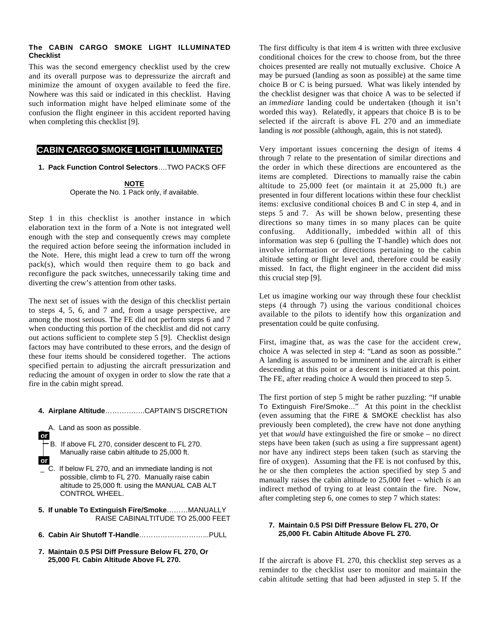#### **The CABIN CARGO SMOKE LIGHT ILLUMINATED Checklist**

This was the second emergency checklist used by the crew and its overall purpose was to depressurize the aircraft and minimize the amount of oxygen available to feed the fire. Nowhere was this said or indicated in this checklist. Having such information might have helped eliminate some of the confusion the flight engineer in this accident reported having when completing this checklist [9].

# **CABIN CARGO SMOKE LIGHT ILLUMINATED**

**1. Pack Function Control Selectors**….TWO PACKS OFF

**NOTE** Operate the No. 1 Pack only, if available.

Step 1 in this checklist is another instance in which elaboration text in the form of a Note is not integrated well enough with the step and consequently crews may complete the required action before seeing the information included in the Note. Here, this might lead a crew to turn off the wrong pack(s), which would then require them to go back and reconfigure the pack switches, unnecessarily taking time and diverting the crew's attention from other tasks.

The next set of issues with the design of this checklist pertain to steps 4, 5, 6, and 7 and, from a usage perspective, are among the most serious. The FE did not perform steps 6 and 7 when conducting this portion of the checklist and did not carry out actions sufficient to complete step 5 [9]. Checklist design factors may have contributed to these errors, and the design of these four items should be considered together. The actions specified pertain to adjusting the aircraft pressurization and reducing the amount of oxygen in order to slow the rate that a fire in the cabin might spread.

# **4. Airplane Altitude**……………..CAPTAIN'S DISCRETION

A. Land as soon as possible.

 **.or.**

B. If above FL 270, consider descent to FL 270. Manually raise cabin altitude to 25,000 ft.

- **.or.** \_ C. If below FL 270, and an immediate landing is not possible, climb to FL 270. Manually raise cabin altitude to 25,000 ft. using the MANUAL CAB ALT CONTROL WHEEL.
- **5. If unable To Extinguish Fire/Smoke**………MANUALLY RAISE CABINALTITUDE TO 25,000 FEET
- **6. Cabin Air Shutoff T-Handle**………………………...PULL
- **7. Maintain 0.5 PSI Diff Pressure Below FL 270, Or 25,000 Ft. Cabin Altitude Above FL 270.**

The first difficulty is that item 4 is written with three exclusive conditional choices for the crew to choose from, but the three choices presented are really not mutually exclusive. Choice A may be pursued (landing as soon as possible) at the same time choice B or C is being pursued. What was likely intended by the checklist designer was that choice A was to be selected if an *immediate* landing could be undertaken (though it isn't worded this way). Relatedly, it appears that choice B is to be selected if the aircraft is above FL 270 and an immediate landing is *not* possible (although, again, this is not stated).

Very important issues concerning the design of items 4 through 7 relate to the presentation of similar directions and the order in which these directions are encountered as the items are completed. Directions to manually raise the cabin altitude to 25,000 feet (or maintain it at 25,000 ft.) are presented in four different locations within these four checklist items: exclusive conditional choices B and C in step 4, and in steps 5 and 7. As will be shown below, presenting these directions so many times in so many places can be quite confusing. Additionally, imbedded within all of this information was step 6 (pulling the T-handle) which does not involve information or directions pertaining to the cabin altitude setting or flight level and, therefore could be easily missed. In fact, the flight engineer in the accident did miss this crucial step [9].

Let us imagine working our way through these four checklist steps (4 through 7) using the various conditional choices available to the pilots to identify how this organization and presentation could be quite confusing.

First, imagine that, as was the case for the accident crew, choice A was selected in step 4: "Land as soon as possible." A landing is assumed to be imminent and the aircraft is either descending at this point or a descent is initiated at this point. The FE, after reading choice A would then proceed to step 5.

The first portion of step 5 might be rather puzzling: "If unable To Extinguish Fire/Smoke..." At this point in the checklist (even assuming that the FIRE & SMOKE checklist has also previously been completed), the crew have not done anything yet that *would* have extinguished the fire or smoke – no direct steps have been taken (such as using a fire suppressant agent) nor have any indirect steps been taken (such as starving the fire of oxygen). Assuming that the FE is not confused by this, he or she then completes the action specified by step 5 and manually raises the cabin altitude to 25,000 feet – which *is* an indirect method of trying to at least contain the fire. Now, after completing step 6, one comes to step 7 which states:

#### **7. Maintain 0.5 PSI Diff Pressure Below FL 270, Or 25,000 Ft. Cabin Altitude Above FL 270.**

If the aircraft is above FL 270, this checklist step serves as a reminder to the checklist user to monitor and maintain the cabin altitude setting that had been adjusted in step 5. If the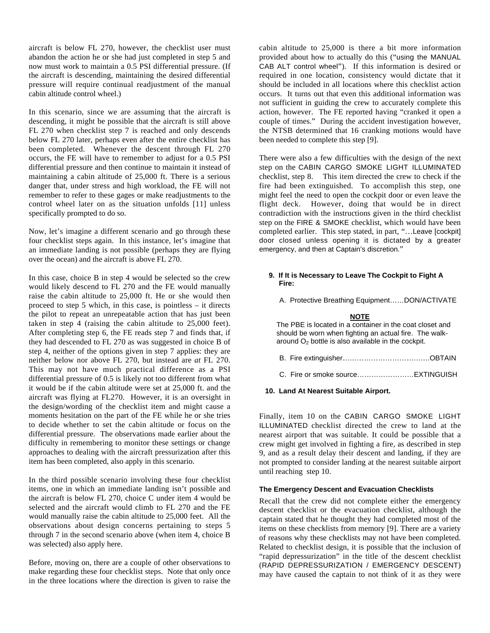aircraft is below FL 270, however, the checklist user must abandon the action he or she had just completed in step 5 and now must work to maintain a 0.5 PSI differential pressure. (If the aircraft is descending, maintaining the desired differential pressure will require continual readjustment of the manual cabin altitude control wheel.)

In this scenario, since we are assuming that the aircraft is descending, it might be possible that the aircraft is still above FL 270 when checklist step 7 is reached and only descends below FL 270 later, perhaps even after the entire checklist has been completed. Whenever the descent through FL 270 occurs, the FE will have to remember to adjust for a 0.5 PSI differential pressure and then continue to maintain it instead of maintaining a cabin altitude of 25,000 ft. There is a serious danger that, under stress and high workload, the FE will not remember to refer to these gages or make readjustments to the control wheel later on as the situation unfolds [11] unless specifically prompted to do so.

Now, let's imagine a different scenario and go through these four checklist steps again. In this instance, let's imagine that an immediate landing is not possible (perhaps they are flying over the ocean) and the aircraft is above FL 270.

In this case, choice B in step 4 would be selected so the crew would likely descend to FL 270 and the FE would manually raise the cabin altitude to 25,000 ft. He or she would then proceed to step 5 which, in this case, is pointless – it directs the pilot to repeat an unrepeatable action that has just been taken in step 4 (raising the cabin altitude to 25,000 feet). After completing step 6, the FE reads step 7 and finds that, if they had descended to FL 270 as was suggested in choice B of step 4, neither of the options given in step 7 applies: they are neither below nor above FL 270, but instead are *at* FL 270. This may not have much practical difference as a PSI differential pressure of 0.5 is likely not too different from what it would be if the cabin altitude were set at 25,000 ft. and the aircraft was flying at FL270. However, it is an oversight in the design/wording of the checklist item and might cause a moments hesitation on the part of the FE while he or she tries to decide whether to set the cabin altitude or focus on the differential pressure. The observations made earlier about the difficulty in remembering to monitor these settings or change approaches to dealing with the aircraft pressurization after this item has been completed, also apply in this scenario.

In the third possible scenario involving these four checklist items, one in which an immediate landing isn't possible and the aircraft is below FL 270, choice C under item 4 would be selected and the aircraft would climb to FL 270 and the FE would manually raise the cabin altitude to 25,000 feet. All the observations about design concerns pertaining to steps 5 through 7 in the second scenario above (when item 4, choice B was selected) also apply here.

Before, moving on, there are a couple of other observations to make regarding these four checklist steps. Note that only once in the three locations where the direction is given to raise the

cabin altitude to 25,000 is there a bit more information provided about how to actually do this ("using the MANUAL CAB ALT control wheel"). If this information is desired or required in one location, consistency would dictate that it should be included in all locations where this checklist action occurs. It turns out that even this additional information was not sufficient in guiding the crew to accurately complete this action, however. The FE reported having "cranked it open a couple of times." During the accident investigation however, the NTSB determined that 16 cranking motions would have been needed to complete this step [9].

There were also a few difficulties with the design of the next step on the CABIN CARGO SMOKE LIGHT ILLUMINATED checklist, step 8. This item directed the crew to check if the fire had been extinguished. To accomplish this step, one might feel the need to open the cockpit door or even leave the flight deck. However, doing that would be in direct contradiction with the instructions given in the third checklist step on the FIRE & SMOKE checklist, which would have been completed earlier. This step stated, in part, "…Leave [cockpit] door closed unless opening it is dictated by a greater emergency, and then at Captain's discretion."

### **9. If It is Necessary to Leave The Cockpit to Fight A Fire:**

A. Protective Breathing Equipment……DON/ACTIVATE

# **NOTE**

The PBE is located in a container in the coat closet and should be worn when fighting an actual fire. The walkaround  $O<sub>2</sub>$  bottle is also available in the cockpit.

**10. Land At Nearest Suitable Airport.**

Finally, item 10 on the CABIN CARGO SMOKE LIGHT ILLUMINATED checklist directed the crew to land at the nearest airport that was suitable. It could be possible that a crew might get involved in fighting a fire, as described in step 9, and as a result delay their descent and landing, if they are not prompted to consider landing at the nearest suitable airport until reaching step 10.

#### **The Emergency Descent and Evacuation Checklists**

Recall that the crew did not complete either the emergency descent checklist or the evacuation checklist, although the captain stated that he thought they had completed most of the items on these checklists from memory [9]. There are a variety of reasons why these checklists may not have been completed. Related to checklist design, it is possible that the inclusion of "rapid depressurization" in the title of the descent checklist (RAPID DEPRESSURIZATION / EMERGENCY DESCENT) may have caused the captain to not think of it as they were